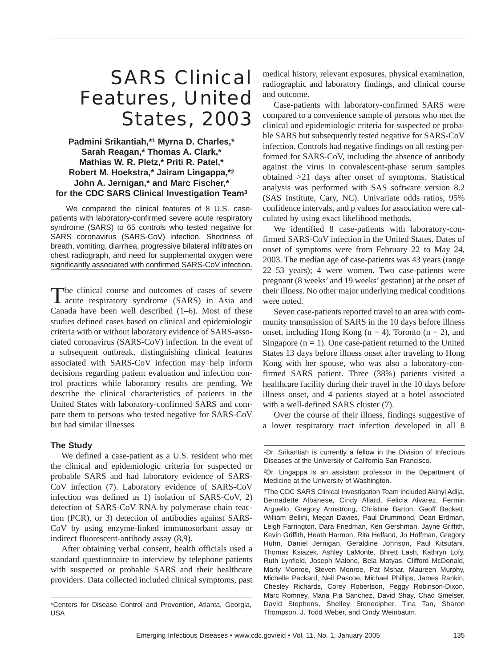# SARS Clinical Features, United States, 2003

# **Padmini Srikantiah,\*1 Myrna D. Charles,\* Sarah Reagan,\* Thomas A. Clark,\* Mathias W. R. Pletz,\* Priti R. Patel,\* Robert M. Hoekstra,\* Jairam Lingappa,\*2 John A. Jernigan,\* and Marc Fischer,\* for the CDC SARS Clinical Investigation Team3**

We compared the clinical features of 8 U.S. casepatients with laboratory-confirmed severe acute respiratory syndrome (SARS) to 65 controls who tested negative for SARS coronavirus (SARS-CoV) infection. Shortness of breath, vomiting, diarrhea, progressive bilateral infiltrates on chest radiograph, and need for supplemental oxygen were significantly associated with confirmed SARS-CoV infection.

The clinical course and outcomes of cases of severe acute respiratory syndrome (SARS) in Asia and Canada have been well described (1–6). Most of these studies defined cases based on clinical and epidemiologic criteria with or without laboratory evidence of SARS-associated coronavirus (SARS-CoV) infection. In the event of a subsequent outbreak, distinguishing clinical features associated with SARS-CoV infection may help inform decisions regarding patient evaluation and infection control practices while laboratory results are pending. We describe the clinical characteristics of patients in the United States with laboratory-confirmed SARS and compare them to persons who tested negative for SARS-CoV but had similar illnesses

## **The Study**

We defined a case-patient as a U.S. resident who met the clinical and epidemiologic criteria for suspected or probable SARS and had laboratory evidence of SARS-CoV infection (7). Laboratory evidence of SARS-CoV infection was defined as 1) isolation of SARS-CoV, 2) detection of SARS-CoV RNA by polymerase chain reaction (PCR), or 3) detection of antibodies against SARS-CoV by using enzyme-linked immunosorbant assay or indirect fluorescent-antibody assay (8,9).

After obtaining verbal consent, health officials used a standard questionnaire to interview by telephone patients with suspected or probable SARS and their healthcare providers. Data collected included clinical symptoms, past medical history, relevant exposures, physical examination, radiographic and laboratory findings, and clinical course and outcome.

Case-patients with laboratory-confirmed SARS were compared to a convenience sample of persons who met the clinical and epidemiologic criteria for suspected or probable SARS but subsequently tested negative for SARS-CoV infection. Controls had negative findings on all testing performed for SARS-CoV, including the absence of antibody against the virus in convalescent-phase serum samples obtained >21 days after onset of symptoms. Statistical analysis was performed with SAS software version 8.2 (SAS Institute, Cary, NC). Univariate odds ratios, 95% confidence intervals, and p values for association were calculated by using exact likelihood methods.

We identified 8 case-patients with laboratory-confirmed SARS-CoV infection in the United States. Dates of onset of symptoms were from February 22 to May 24, 2003. The median age of case-patients was 43 years (range 22–53 years); 4 were women. Two case-patients were pregnant (8 weeks' and 19 weeks' gestation) at the onset of their illness. No other major underlying medical conditions were noted.

Seven case-patients reported travel to an area with community transmission of SARS in the 10 days before illness onset, including Hong Kong  $(n = 4)$ , Toronto  $(n = 2)$ , and Singapore  $(n = 1)$ . One case-patient returned to the United States 13 days before illness onset after traveling to Hong Kong with her spouse, who was also a laboratory-confirmed SARS patient. Three (38%) patients visited a healthcare facility during their travel in the 10 days before illness onset, and 4 patients stayed at a hotel associated with a well-defined SARS cluster (7).

Over the course of their illness, findings suggestive of a lower respiratory tract infection developed in all 8

3The CDC SARS Clinical Investigation Team included Akinyi Adija, Bernadette Albanese, Cindy Allard, Felicia Alvarez, Fermin Arguello, Gregory Armstrong, Christine Barton, Geoff Beckett, William Bellini, Megan Davies, Paul Drummond, Dean Erdman, Leigh Farrington, Dara Friedman, Ken Gershman, Jayne Griffith, Kevin Griffith, Heath Harmon, Rita Helfand, Jo Hoffman, Gregory Huhn, Daniel Jernigan, Geraldine Johnson, Paul Kitsutani, Thomas Ksiazek, Ashley LaMonte, Bhrett Lash, Kathryn Lofy, Ruth Lynfield, Joseph Malone, Bela Matyas, Clifford McDonald, Marty Monroe, Steven Monroe, Pat Mshar, Maureen Murphy, Michelle Packard, Neil Pascoe, Michael Phillips, James Rankin, Chesley Richards, Corey Robertson, Peggy Robinson-Dixon, Marc Romney, Maria Pia Sanchez, David Shay, Chad Smelser, David Stephens, Shelley Stonecipher, Tina Tan, Sharon Thompson, J. Todd Weber, and Cindy Weinbaum.

<sup>\*</sup>Centers for Disease Control and Prevention, Atlanta, Georgia, USA

<sup>1</sup>Dr. Srikantiah is currently a fellow in the Division of Infectious Diseases at the University of California San Francisco.

<sup>2</sup>Dr. Lingappa is an assistant professor in the Department of Medicine at the University of Washington.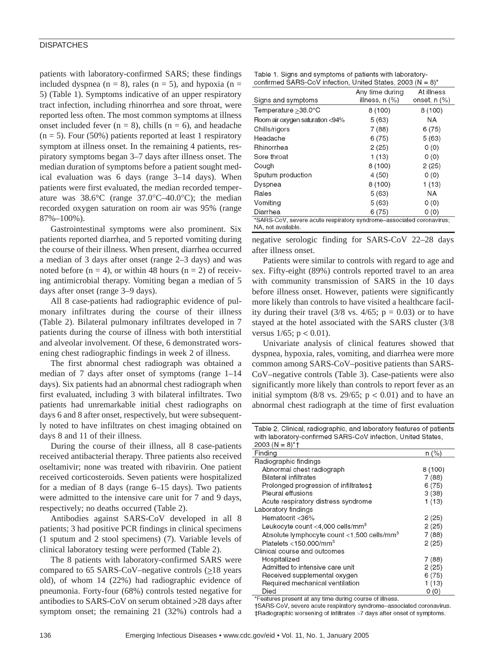#### **DISPATCHES**

patients with laboratory-confirmed SARS; these findings included dyspnea ( $n = 8$ ), rales ( $n = 5$ ), and hypoxia ( $n =$ 5) (Table 1). Symptoms indicative of an upper respiratory tract infection, including rhinorrhea and sore throat, were reported less often. The most common symptoms at illness onset included fever  $(n = 8)$ , chills  $(n = 6)$ , and headache  $(n = 5)$ . Four (50%) patients reported at least 1 respiratory symptom at illness onset. In the remaining 4 patients, respiratory symptoms began 3–7 days after illness onset. The median duration of symptoms before a patient sought medical evaluation was 6 days (range 3–14 days). When patients were first evaluated, the median recorded temperature was 38.6°C (range 37.0°C–40.0°C); the median recorded oxygen saturation on room air was 95% (range 87%–100%).

Gastrointestinal symptoms were also prominent. Six patients reported diarrhea, and 5 reported vomiting during the course of their illness. When present, diarrhea occurred a median of 3 days after onset (range 2–3 days) and was noted before  $(n = 4)$ , or within 48 hours  $(n = 2)$  of receiving antimicrobial therapy. Vomiting began a median of 5 days after onset (range 3–9 days).

All 8 case-patients had radiographic evidence of pulmonary infiltrates during the course of their illness (Table 2). Bilateral pulmonary infiltrates developed in 7 patients during the course of illness with both interstitial and alveolar involvement. Of these, 6 demonstrated worsening chest radiographic findings in week 2 of illness.

The first abnormal chest radiograph was obtained a median of 7 days after onset of symptoms (range 1–14 days). Six patients had an abnormal chest radiograph when first evaluated, including 3 with bilateral infiltrates. Two patients had unremarkable initial chest radiographs on days 6 and 8 after onset, respectively, but were subsequently noted to have infiltrates on chest imaging obtained on days 8 and 11 of their illness.

During the course of their illness, all 8 case-patients received antibacterial therapy. Three patients also received oseltamivir; none was treated with ribavirin. One patient received corticosteroids. Seven patients were hospitalized for a median of 8 days (range 6–15 days). Two patients were admitted to the intensive care unit for 7 and 9 days, respectively; no deaths occurred (Table 2).

Antibodies against SARS-CoV developed in all 8 patients; 3 had positive PCR findings in clinical specimens (1 sputum and 2 stool specimens) (7). Variable levels of clinical laboratory testing were performed (Table 2).

The 8 patients with laboratory-confirmed SARS were compared to 65 SARS-CoV–negative controls  $(\geq 18$  years old), of whom 14 (22%) had radiographic evidence of pneumonia. Forty-four (68%) controls tested negative for antibodies to SARS-CoV on serum obtained >28 days after symptom onset; the remaining 21 (32%) controls had a

| Table 1. Signs and symptoms of patients with laboratory-      |  |
|---------------------------------------------------------------|--|
| confirmed SARS-CoV infection, United States, 2003 ( $N = 8$ ) |  |

| $\frac{1}{2}$                                                                              |                     |                   |  |  |  |  |
|--------------------------------------------------------------------------------------------|---------------------|-------------------|--|--|--|--|
|                                                                                            | Any time during     | At illness        |  |  |  |  |
| Signs and symptoms                                                                         | illness, $n$ $(\%)$ | onset, $n$ $(\%)$ |  |  |  |  |
| Temperature > 38.0°C                                                                       | 8(100)              | 8(100)            |  |  |  |  |
| Room air oxygen saturation <94%                                                            | 5(63)               | NA                |  |  |  |  |
| Chills/rigors                                                                              | 7(88)               | 6(75)             |  |  |  |  |
| Headache                                                                                   | 6(75)               | 5(63)             |  |  |  |  |
| <b>Rhinorrhea</b>                                                                          | 2(25)               | 0(0)              |  |  |  |  |
| Sore throat                                                                                | 1(13)               | 0(0)              |  |  |  |  |
| Cough                                                                                      | 8(100)              | 2(25)             |  |  |  |  |
| Sputum production                                                                          | 4 (50)              | 0(0)              |  |  |  |  |
| Dyspnea                                                                                    | 8(100)              | 1(13)             |  |  |  |  |
| Rales                                                                                      | 5(63)               | NA.               |  |  |  |  |
| Vomiting                                                                                   | 5(63)               | 0(0)              |  |  |  |  |
| Diarrhea                                                                                   | 6(75)               | 0(0)              |  |  |  |  |
| *SARS-CoV, severe acute respiratory syndrome-associated coronavirus;<br>NA, not available. |                     |                   |  |  |  |  |
|                                                                                            |                     |                   |  |  |  |  |

negative serologic finding for SARS-CoV 22–28 days after illness onset.

Patients were similar to controls with regard to age and sex. Fifty-eight (89%) controls reported travel to an area with community transmission of SARS in the 10 days before illness onset. However, patients were significantly more likely than controls to have visited a healthcare facility during their travel  $(3/8 \text{ vs. } 4/65; \text{ p} = 0.03)$  or to have stayed at the hotel associated with the SARS cluster (3/8 versus  $1/65$ ;  $p < 0.01$ ).

Univariate analysis of clinical features showed that dyspnea, hypoxia, rales, vomiting, and diarrhea were more common among SARS-CoV–positive patients than SARS-CoV–negative controls (Table 3). Case-patients were also significantly more likely than controls to report fever as an initial symptom  $(8/8 \text{ vs. } 29/65; \text{ p} < 0.01)$  and to have an abnormal chest radiograph at the time of first evaluation

Table 2. Clinical, radiographic, and laboratory features of patients with laboratory-confirmed SARS-CoV infection, United States,  $2003(N = 8)^*$ 

| Finding                                                   | n (%)  |
|-----------------------------------------------------------|--------|
| Radiographic findings                                     |        |
| Abnormal chest radiograph                                 | 8(100) |
| <b>Bilateral infiltrates</b>                              | 7(88)  |
| Prolonged progression of infiltrates‡                     | 6(75)  |
| Pleural effusions                                         | 3(38)  |
| Acute respiratory distress syndrome                       | 1(13)  |
| Laboratory findings                                       |        |
| Hematocrit <36%                                           | 2(25)  |
| Leukocyte count <4,000 cells/mm $^3$                      | 2(25)  |
| Absolute lymphocyte count $<$ 1,500 cells/mm <sup>3</sup> | 7(88)  |
| Platelets <150,000/mm <sup>3</sup>                        | 2(25)  |
| Clinical course and outcomes                              |        |
| Hospitalized                                              | 7(88)  |
| Admitted to intensive care unit                           | 2(25)  |
| Received supplemental oxygen                              | 6(75)  |
| Required mechanical ventilation                           | 1(13)  |
| Died                                                      | 0(0)   |

\*Features present at any time during course of illness.

†SARS-CoV, severe acute respiratory syndrome-associated coronavirus. ‡Radiographic worsening of infiltrates >7 days after onset of symptoms.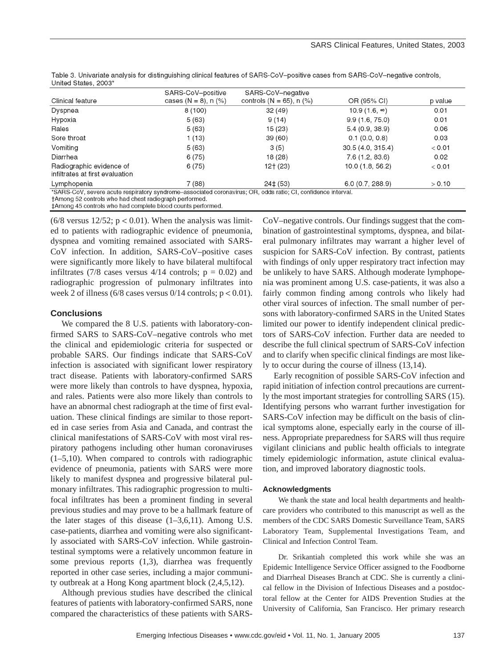|                                                                                                               | SARS-CoV-positive          | SARS-CoV-negative            |                     |         |  |  |
|---------------------------------------------------------------------------------------------------------------|----------------------------|------------------------------|---------------------|---------|--|--|
| Clinical feature                                                                                              | cases $(N = 8)$ , n $(\%)$ | controls ( $N = 65$ ), n (%) | OR (95% CI)         | p value |  |  |
| Dyspnea                                                                                                       | 8(100)                     | 32(49)                       | $10.9(1.6, \infty)$ | 0.01    |  |  |
| Hypoxia                                                                                                       | 5(63)                      | 9(14)                        | 9.9(1.6, 75.0)      | 0.01    |  |  |
| Rales                                                                                                         | 5(63)                      | 15(23)                       | 5.4(0.9, 38.9)      | 0.06    |  |  |
| Sore throat                                                                                                   | 1 (13)                     | 39(60)                       | 0.1(0.0, 0.8)       | 0.03    |  |  |
| Vomiting                                                                                                      | 5(63)                      | 3(5)                         | 30.5(4.0, 315.4)    | < 0.01  |  |  |
| Diarrhea                                                                                                      | 6(75)                      | 18(28)                       | 7.6(1.2, 83.6)      | 0.02    |  |  |
| Radiographic evidence of<br>infiltrates at first evaluation                                                   | 6(75)                      | $12+ (23)$                   | 10.0(1.8, 56.2)     | < 0.01  |  |  |
| Lymphopenia                                                                                                   | 7(88)                      | $24\pm(53)$                  | 6.0(0.7, 288.9)     | > 0.10  |  |  |
| *SARS-CoV, severe acute respiratory syndrome-associated coronavirus; OR, odds ratio; CI, confidence interval. |                            |                              |                     |         |  |  |

Table 3. Univariate analysis for distinguishing clinical features of SARS-CoV-positive cases from SARS-CoV-negative controls, United States, 2003\*

†Among 52 controls who had chest radiograph performed.

‡Among 45 controls who had complete blood counts performed.

 $(6/8 \text{ versus } 12/52; \text{ p} < 0.01)$ . When the analysis was limited to patients with radiographic evidence of pneumonia, dyspnea and vomiting remained associated with SARS-CoV infection. In addition, SARS-CoV–positive cases were significantly more likely to have bilateral multifocal infiltrates (7/8 cases versus  $4/14$  controls;  $p = 0.02$ ) and radiographic progression of pulmonary infiltrates into week 2 of illness (6/8 cases versus  $0/14$  controls;  $p < 0.01$ ).

## **Conclusions**

We compared the 8 U.S. patients with laboratory-confirmed SARS to SARS-CoV–negative controls who met the clinical and epidemiologic criteria for suspected or probable SARS. Our findings indicate that SARS-CoV infection is associated with significant lower respiratory tract disease. Patients with laboratory-confirmed SARS were more likely than controls to have dyspnea, hypoxia, and rales. Patients were also more likely than controls to have an abnormal chest radiograph at the time of first evaluation. These clinical findings are similar to those reported in case series from Asia and Canada, and contrast the clinical manifestations of SARS-CoV with most viral respiratory pathogens including other human coronaviruses (1–5,10). When compared to controls with radiographic evidence of pneumonia, patients with SARS were more likely to manifest dyspnea and progressive bilateral pulmonary infiltrates. This radiographic progression to multifocal infiltrates has been a prominent finding in several previous studies and may prove to be a hallmark feature of the later stages of this disease  $(1-3,6,11)$ . Among U.S. case-patients, diarrhea and vomiting were also significantly associated with SARS-CoV infection. While gastrointestinal symptoms were a relatively uncommon feature in some previous reports (1,3), diarrhea was frequently reported in other case series, including a major community outbreak at a Hong Kong apartment block (2,4,5,12).

Although previous studies have described the clinical features of patients with laboratory-confirmed SARS, none compared the characteristics of these patients with SARS- CoV–negative controls. Our findings suggest that the combination of gastrointestinal symptoms, dyspnea, and bilateral pulmonary infiltrates may warrant a higher level of suspicion for SARS-CoV infection. By contrast, patients with findings of only upper respiratory tract infection may be unlikely to have SARS. Although moderate lymphopenia was prominent among U.S. case-patients, it was also a fairly common finding among controls who likely had other viral sources of infection. The small number of persons with laboratory-confirmed SARS in the United States limited our power to identify independent clinical predictors of SARS-CoV infection. Further data are needed to describe the full clinical spectrum of SARS-CoV infection and to clarify when specific clinical findings are most likely to occur during the course of illness (13,14).

Early recognition of possible SARS-CoV infection and rapid initiation of infection control precautions are currently the most important strategies for controlling SARS (15). Identifying persons who warrant further investigation for SARS-CoV infection may be difficult on the basis of clinical symptoms alone, especially early in the course of illness. Appropriate preparedness for SARS will thus require vigilant clinicians and public health officials to integrate timely epidemiologic information, astute clinical evaluation, and improved laboratory diagnostic tools.

### **Acknowledgments**

We thank the state and local health departments and healthcare providers who contributed to this manuscript as well as the members of the CDC SARS Domestic Surveillance Team, SARS Laboratory Team, Supplemental Investigations Team, and Clinical and Infection Control Team.

Dr. Srikantiah completed this work while she was an Epidemic Intelligence Service Officer assigned to the Foodborne and Diarrheal Diseases Branch at CDC. She is currently a clinical fellow in the Division of Infectious Diseases and a postdoctoral fellow at the Center for AIDS Prevention Studies at the University of California, San Francisco. Her primary research